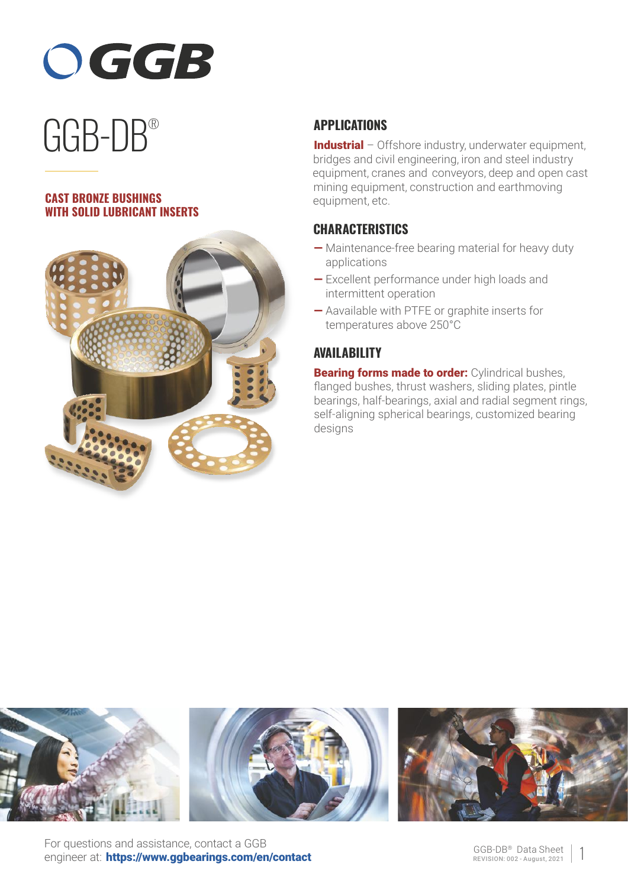

# GGB-DB ®

#### **CAST BRONZE BUSHINGS WITH SOLID LUBRICANT INSERTS**



# **APPLICATIONS**

Industrial – Offshore industry, underwater equipment, bridges and civil engineering, iron and steel industry equipment, cranes and conveyors, deep and open cast mining equipment, construction and earthmoving equipment, etc.

## **CHARACTERISTICS**

- Maintenance-free bearing material for heavy duty applications
- Excellent performance under high loads and intermittent operation
- Aavailable with PTFE or graphite inserts for temperatures above 250°C

## **AVAILABILITY**

**Bearing forms made to order:** Cylindrical bushes, flanged bushes, thrust washers, sliding plates, pintle bearings, half-bearings, axial and radial segment rings, self-aligning spherical bearings, customized bearing desians